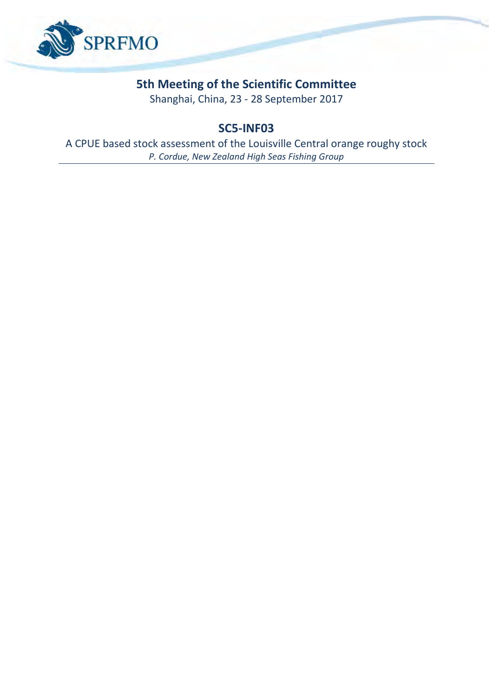

# **5th Meeting of the Scientific Committee**

Shanghai, China, 23 - 28 September 2017

## **SC5-INF03**

A CPUE based stock assessment of the Louisville Central orange roughy stock *P. Cordue, New Zealand High Seas Fishing Group*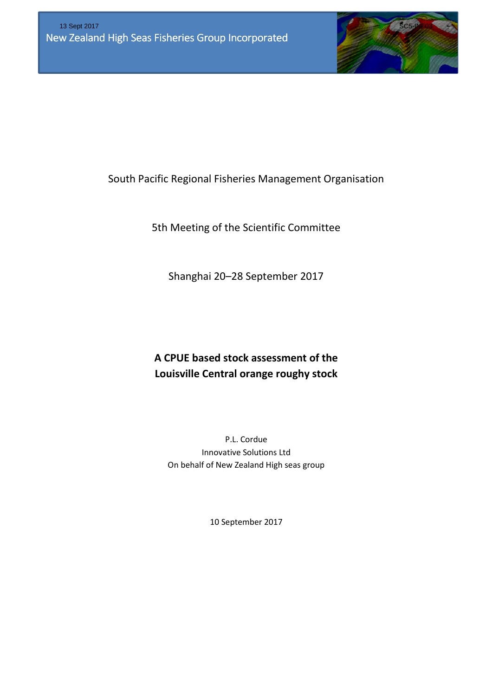

South Pacific Regional Fisheries Management Organisation

5th Meeting of the Scientific Committee

Shanghai 20–28 September 2017

# A CPUE based stock assessment of the Louisville Central orange roughy stock

P.L. Cordue Innovative Solutions Ltd On behalf of New Zealand High seas group

10 September 2017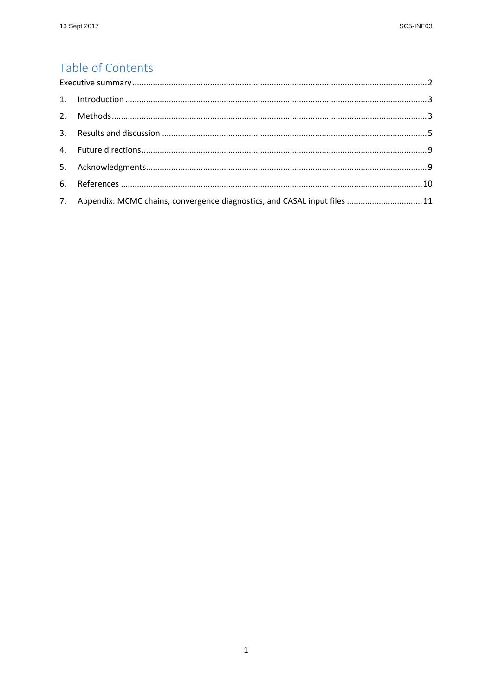## Table of Contents

| 7. Appendix: MCMC chains, convergence diagnostics, and CASAL input files  11 |  |
|------------------------------------------------------------------------------|--|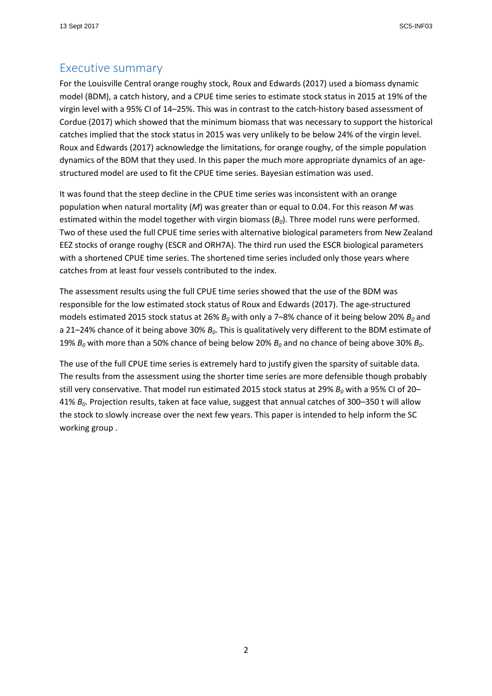#### Executive summary

For the Louisville Central orange roughy stock, Roux and Edwards (2017) used a biomass dynamic model (BDM), a catch history, and a CPUE time series to estimate stock status in 2015 at 19% of the virgin level with a 95% CI of 14–25%. This was in contrast to the catch-history based assessment of Cordue (2017) which showed that the minimum biomass that was necessary to support the historical catches implied that the stock status in 2015 was very unlikely to be below 24% of the virgin level. Roux and Edwards (2017) acknowledge the limitations, for orange roughy, of the simple population dynamics of the BDM that they used. In this paper the much more appropriate dynamics of an agestructured model are used to fit the CPUE time series. Bayesian estimation was used.

It was found that the steep decline in the CPUE time series was inconsistent with an orange population when natural mortality  $(M)$  was greater than or equal to 0.04. For this reason M was estimated within the model together with virgin biomass  $(B<sub>0</sub>)$ . Three model runs were performed. Two of these used the full CPUE time series with alternative biological parameters from New Zealand EEZ stocks of orange roughy (ESCR and ORH7A). The third run used the ESCR biological parameters with a shortened CPUE time series. The shortened time series included only those years where catches from at least four vessels contributed to the index.

The assessment results using the full CPUE time series showed that the use of the BDM was responsible for the low estimated stock status of Roux and Edwards (2017). The age-structured models estimated 2015 stock status at 26%  $B_0$  with only a 7–8% chance of it being below 20%  $B_0$  and a 21–24% chance of it being above 30%  $B_0$ . This is qualitatively very different to the BDM estimate of 19%  $B_0$  with more than a 50% chance of being below 20%  $B_0$  and no chance of being above 30%  $B_0$ .

The use of the full CPUE time series is extremely hard to justify given the sparsity of suitable data. The results from the assessment using the shorter time series are more defensible though probably still very conservative. That model run estimated 2015 stock status at 29%  $B_0$  with a 95% CI of 20– 41%  $B_0$ . Projection results, taken at face value, suggest that annual catches of 300–350 t will allow the stock to slowly increase over the next few years. This paper is intended to help inform the SC working group .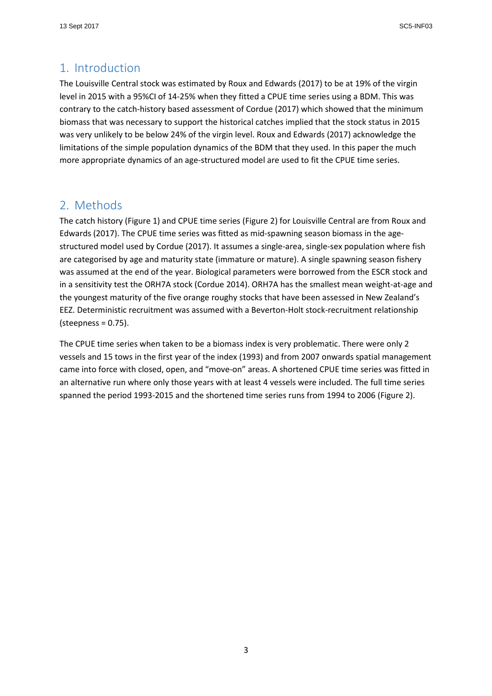#### 1. Introduction

The Louisville Central stock was estimated by Roux and Edwards (2017) to be at 19% of the virgin level in 2015 with a 95%CI of 14-25% when they fitted a CPUE time series using a BDM. This was contrary to the catch-history based assessment of Cordue (2017) which showed that the minimum biomass that was necessary to support the historical catches implied that the stock status in 2015 was very unlikely to be below 24% of the virgin level. Roux and Edwards (2017) acknowledge the limitations of the simple population dynamics of the BDM that they used. In this paper the much more appropriate dynamics of an age-structured model are used to fit the CPUE time series.

### 2. Methods

The catch history (Figure 1) and CPUE time series (Figure 2) for Louisville Central are from Roux and Edwards (2017). The CPUE time series was fitted as mid-spawning season biomass in the agestructured model used by Cordue (2017). It assumes a single-area, single-sex population where fish are categorised by age and maturity state (immature or mature). A single spawning season fishery was assumed at the end of the year. Biological parameters were borrowed from the ESCR stock and in a sensitivity test the ORH7A stock (Cordue 2014). ORH7A has the smallest mean weight-at-age and the youngest maturity of the five orange roughy stocks that have been assessed in New Zealand's EEZ. Deterministic recruitment was assumed with a Beverton-Holt stock-recruitment relationship (steepness = 0.75).

The CPUE time series when taken to be a biomass index is very problematic. There were only 2 vessels and 15 tows in the first year of the index (1993) and from 2007 onwards spatial management came into force with closed, open, and "move-on" areas. A shortened CPUE time series was fitted in an alternative run where only those years with at least 4 vessels were included. The full time series spanned the period 1993-2015 and the shortened time series runs from 1994 to 2006 (Figure 2).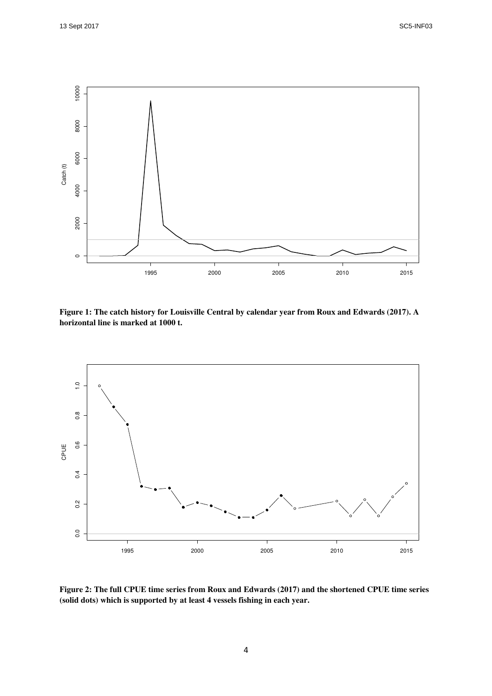

**Figure 1: The catch history for Louisville Central by calendar year from Roux and Edwards (2017). A horizontal line is marked at 1000 t.** 



**Figure 2: The full CPUE time series from Roux and Edwards (2017) and the shortened CPUE time series (solid dots) which is supported by at least 4 vessels fishing in each year.**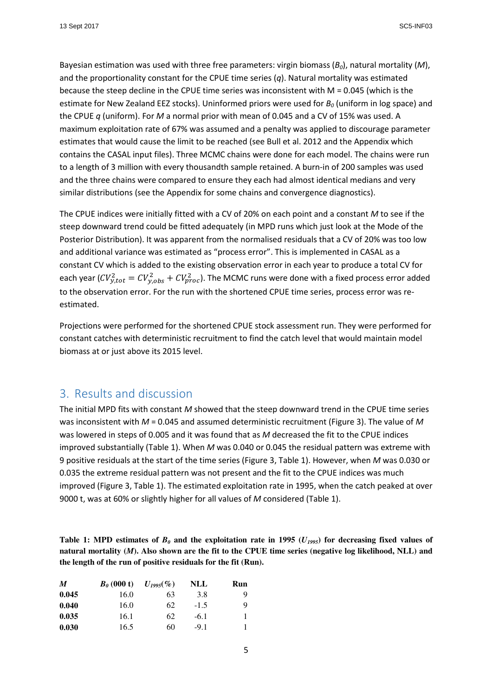Bayesian estimation was used with three free parameters: virgin biomass  $(B<sub>0</sub>)$ , natural mortality (M), and the proportionality constant for the CPUE time series  $(q)$ . Natural mortality was estimated because the steep decline in the CPUE time series was inconsistent with M = 0.045 (which is the estimate for New Zealand EEZ stocks). Uninformed priors were used for  $B<sub>0</sub>$  (uniform in log space) and the CPUE q (uniform). For M a normal prior with mean of 0.045 and a CV of 15% was used. A maximum exploitation rate of 67% was assumed and a penalty was applied to discourage parameter estimates that would cause the limit to be reached (see Bull et al. 2012 and the Appendix which contains the CASAL input files). Three MCMC chains were done for each model. The chains were run to a length of 3 million with every thousandth sample retained. A burn-in of 200 samples was used and the three chains were compared to ensure they each had almost identical medians and very similar distributions (see the Appendix for some chains and convergence diagnostics).

The CPUE indices were initially fitted with a CV of 20% on each point and a constant M to see if the steep downward trend could be fitted adequately (in MPD runs which just look at the Mode of the Posterior Distribution). It was apparent from the normalised residuals that a CV of 20% was too low and additional variance was estimated as "process error". This is implemented in CASAL as a constant CV which is added to the existing observation error in each year to produce a total CV for each year ( $CV_{y,tot}^2 = CV_{y,obs}^2 + CV_{proc}^2$ ). The MCMC runs were done with a fixed process error added to the observation error. For the run with the shortened CPUE time series, process error was reestimated.

Projections were performed for the shortened CPUE stock assessment run. They were performed for constant catches with deterministic recruitment to find the catch level that would maintain model biomass at or just above its 2015 level.

#### 3. Results and discussion

The initial MPD fits with constant  $M$  showed that the steep downward trend in the CPUE time series was inconsistent with  $M = 0.045$  and assumed deterministic recruitment (Figure 3). The value of M was lowered in steps of 0.005 and it was found that as  $M$  decreased the fit to the CPUE indices improved substantially (Table 1). When  $M$  was 0.040 or 0.045 the residual pattern was extreme with 9 positive residuals at the start of the time series (Figure 3, Table 1). However, when M was 0.030 or 0.035 the extreme residual pattern was not present and the fit to the CPUE indices was much improved (Figure 3, Table 1). The estimated exploitation rate in 1995, when the catch peaked at over 9000 t, was at 60% or slightly higher for all values of M considered (Table 1).

**Table 1: MPD estimates of**  $B_0$  **and the exploitation rate in 1995 (** $U_{1995}$ **) for decreasing fixed values of natural mortality (***M***). Also shown are the fit to the CPUE time series (negative log likelihood, NLL) and the length of the run of positive residuals for the fit (Run).** 

| M     | $B_0$ (000 t) | $U_{1995}(\%)$ | NLL    | Run |
|-------|---------------|----------------|--------|-----|
| 0.045 | 16.0          | 63             | 3.8    | Q   |
| 0.040 | 16.0          | 62             | $-1.5$ | 9   |
| 0.035 | 16.1          | 62             | $-6.1$ |     |
| 0.030 | 16.5          | 60             | $-9.1$ |     |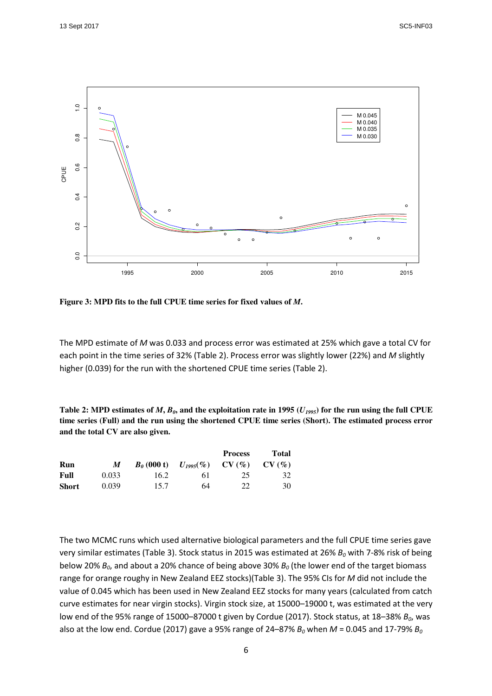

**Figure 3: MPD fits to the full CPUE time series for fixed values of** *M***.**

The MPD estimate of M was 0.033 and process error was estimated at 25% which gave a total CV for each point in the time series of 32% (Table 2). Process error was slightly lower (22%) and M slightly higher (0.039) for the run with the shortened CPUE time series (Table 2).

Table 2: MPD estimates of  $M$ ,  $B_0$ , and the exploitation rate in 1995 ( $U_{1995}$ ) for the run using the full CPUE **time series (Full) and the run using the shortened CPUE time series (Short). The estimated process error and the total CV are also given.** 

|              |       |      |                                      | <b>Process</b> | Total    |
|--------------|-------|------|--------------------------------------|----------------|----------|
| Run          | M     |      | $B_0(000 t)$ $U_{1995}(\%)$ $CV(\%)$ |                | $CV(\%)$ |
| Full         | 0.033 | 16.2 | 61                                   | 25             | 32       |
| <b>Short</b> | 0.039 | 15.7 | 64                                   | 22             | 30       |

The two MCMC runs which used alternative biological parameters and the full CPUE time series gave very similar estimates (Table 3). Stock status in 2015 was estimated at 26%  $B_0$  with 7-8% risk of being below 20%  $B_0$ , and about a 20% chance of being above 30%  $B_0$  (the lower end of the target biomass range for orange roughy in New Zealand EEZ stocks)(Table 3). The 95% CIs for M did not include the value of 0.045 which has been used in New Zealand EEZ stocks for many years (calculated from catch curve estimates for near virgin stocks). Virgin stock size, at 15000–19000 t, was estimated at the very low end of the 95% range of 15000-87000 t given by Cordue (2017). Stock status, at 18-38%  $B_0$ , was also at the low end. Cordue (2017) gave a 95% range of 24–87%  $B_0$  when  $M$  = 0.045 and 17-79%  $B_0$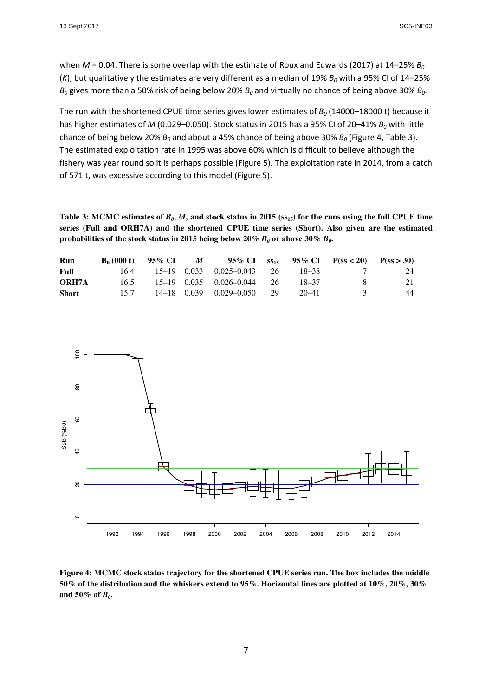when  $M = 0.04$ . There is some overlap with the estimate of Roux and Edwards (2017) at 14–25%  $B_0$ (K), but qualitatively the estimates are very different as a median of 19%  $B_0$  with a 95% CI of 14–25%  $B_0$  gives more than a 50% risk of being below 20%  $B_0$  and virtually no chance of being above 30%  $B_0$ .

The run with the shortened CPUE time series gives lower estimates of  $B_0$  (14000–18000 t) because it has higher estimates of M (0.029–0.050). Stock status in 2015 has a 95% CI of 20–41%  $B_0$  with little chance of being below 20%  $B_0$  and about a 45% chance of being above 30%  $B_0$  (Figure 4, Table 3). The estimated exploitation rate in 1995 was above 60% which is difficult to believe although the fishery was year round so it is perhaps possible (Figure 5). The exploitation rate in 2014, from a catch of 571 t, was excessive according to this model (Figure 5).

**Table 3: MCMC estimates of**  $B_0$ **,**  $M$ **, and stock status in 2015 (** $ss<sub>15</sub>$ **) for the runs using the full CPUE time series (Full and ORH7A) and the shortened CPUE time series (Short). Also given are the estimated**  probabilities of the stock status in 2015 being below 20%  $B_0$  or above 30%  $B_0$ **.** 

| Run          |      |  | $B_0(000 t)$ 95% CI M 95% CI $\text{ss}_{15}$ 95% CI $\text{P}(s s < 20)$ $\text{P}(s s > 30)$ |           |    |     |
|--------------|------|--|------------------------------------------------------------------------------------------------|-----------|----|-----|
| Full         |      |  | $16.4$ $15-19$ $0.033$ $0.025-0.043$ 26                                                        | - 18–38   |    | 24  |
| <b>ORH7A</b> |      |  | $16.5$ $15-19$ $0.035$ $0.026-0.044$ 26                                                        | $18 - 37$ | x. | 21. |
| <b>Short</b> | 15.7 |  | 14–18 0.039 0.029–0.050 29                                                                     | 20–41     |    | 44  |



**Figure 4: MCMC stock status trajectory for the shortened CPUE series run. The box includes the middle 50% of the distribution and the whiskers extend to 95%. Horizontal lines are plotted at 10%, 20%, 30%**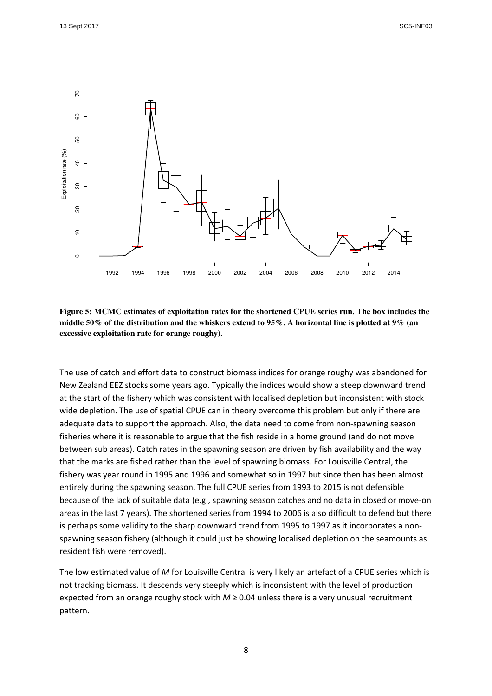

**Figure 5: MCMC estimates of exploitation rates for the shortened CPUE series run. The box includes the middle 50% of the distribution and the whiskers extend to 95%. A horizontal line is plotted at 9% (an excessive exploitation rate for orange roughy).** 

The use of catch and effort data to construct biomass indices for orange roughy was abandoned for New Zealand EEZ stocks some years ago. Typically the indices would show a steep downward trend at the start of the fishery which was consistent with localised depletion but inconsistent with stock wide depletion. The use of spatial CPUE can in theory overcome this problem but only if there are adequate data to support the approach. Also, the data need to come from non-spawning season fisheries where it is reasonable to argue that the fish reside in a home ground (and do not move between sub areas). Catch rates in the spawning season are driven by fish availability and the way that the marks are fished rather than the level of spawning biomass. For Louisville Central, the fishery was year round in 1995 and 1996 and somewhat so in 1997 but since then has been almost entirely during the spawning season. The full CPUE series from 1993 to 2015 is not defensible because of the lack of suitable data (e.g., spawning season catches and no data in closed or move-on areas in the last 7 years). The shortened series from 1994 to 2006 is also difficult to defend but there is perhaps some validity to the sharp downward trend from 1995 to 1997 as it incorporates a nonspawning season fishery (although it could just be showing localised depletion on the seamounts as resident fish were removed).

The low estimated value of M for Louisville Central is very likely an artefact of a CPUE series which is not tracking biomass. It descends very steeply which is inconsistent with the level of production expected from an orange roughy stock with  $M \ge 0.04$  unless there is a very unusual recruitment pattern.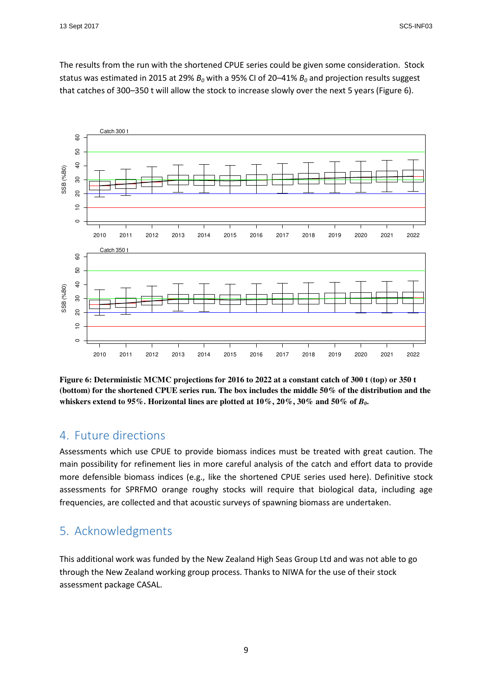The results from the run with the shortened CPUE series could be given some consideration. Stock status was estimated in 2015 at 29%  $B_0$  with a 95% CI of 20–41%  $B_0$  and projection results suggest that catches of 300–350 t will allow the stock to increase slowly over the next 5 years (Figure 6).



**Figure 6: Deterministic MCMC projections for 2016 to 2022 at a constant catch of 300 t (top) or 350 t (bottom) for the shortened CPUE series run. The box includes the middle 50% of the distribution and the whiskers extend to 95%. Horizontal lines are plotted at 10%, 20%, 30% and 50% of** *B0***.** 

#### 4. Future directions

Assessments which use CPUE to provide biomass indices must be treated with great caution. The main possibility for refinement lies in more careful analysis of the catch and effort data to provide more defensible biomass indices (e.g., like the shortened CPUE series used here). Definitive stock assessments for SPRFMO orange roughy stocks will require that biological data, including age frequencies, are collected and that acoustic surveys of spawning biomass are undertaken.

### 5. Acknowledgments

This additional work was funded by the New Zealand High Seas Group Ltd and was not able to go through the New Zealand working group process. Thanks to NIWA for the use of their stock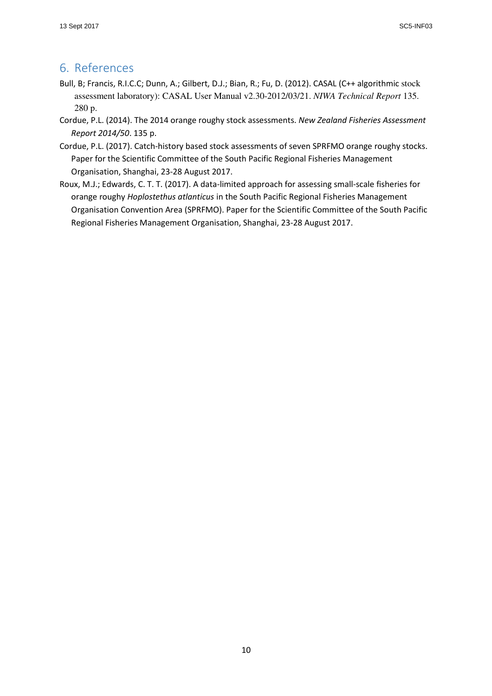### 6. References

- Bull, B; Francis, R.I.C.C; Dunn, A.; Gilbert, D.J.; Bian, R.; Fu, D. (2012). CASAL (C++ algorithmic stock assessment laboratory): CASAL User Manual v2.30-2012/03/21. *NIWA Technical Report* 135. 280 p.
- Cordue, P.L. (2014). The 2014 orange roughy stock assessments. New Zealand Fisheries Assessment Report 2014/50. 135 p.
- Cordue, P.L. (2017). Catch-history based stock assessments of seven SPRFMO orange roughy stocks. Paper for the Scientific Committee of the South Pacific Regional Fisheries Management Organisation, Shanghai, 23-28 August 2017.
- Roux, M.J.; Edwards, C. T. T. (2017). A data-limited approach for assessing small-scale fisheries for orange roughy Hoplostethus atlanticus in the South Pacific Regional Fisheries Management Organisation Convention Area (SPRFMO). Paper for the Scientific Committee of the South Pacific Regional Fisheries Management Organisation, Shanghai, 23-28 August 2017.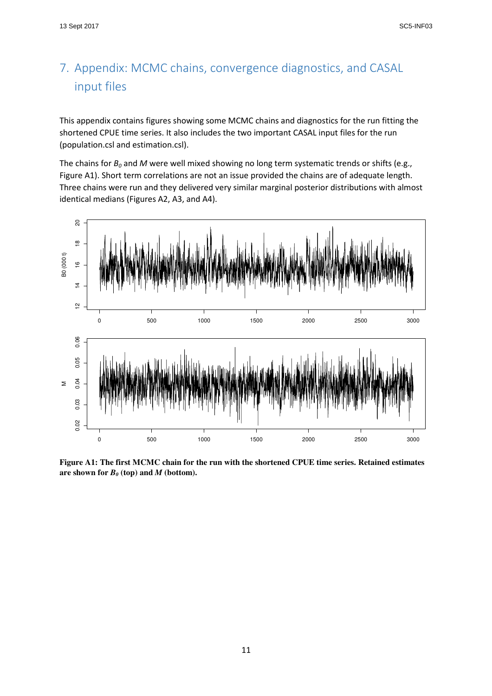# 7. Appendix: MCMC chains, convergence diagnostics, and CASAL input files

This appendix contains figures showing some MCMC chains and diagnostics for the run fitting the shortened CPUE time series. It also includes the two important CASAL input files for the run (population.csl and estimation.csl).

The chains for  $B_0$  and M were well mixed showing no long term systematic trends or shifts (e.g., Figure A1). Short term correlations are not an issue provided the chains are of adequate length. Three chains were run and they delivered very similar marginal posterior distributions with almost identical medians (Figures A2, A3, and A4).



**Figure A1: The first MCMC chain for the run with the shortened CPUE time series. Retained estimates**  are shown for  $B_0$  (top) and  $M$  (bottom).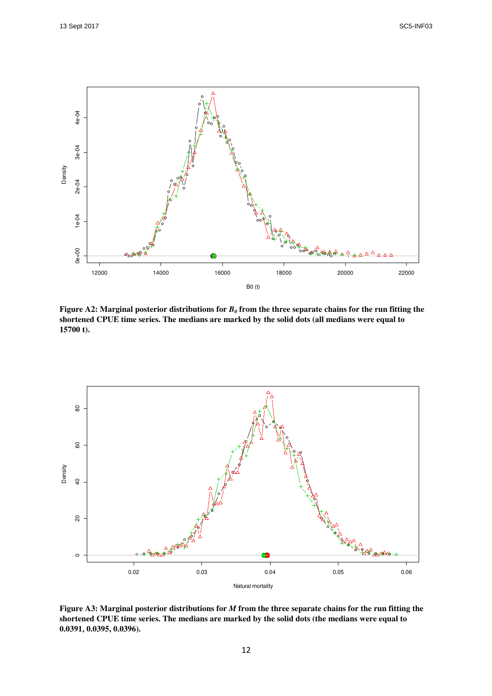

**Figure A2: Marginal posterior distributions for**  $B_0$  **from the three separate chains for the run fitting the shortened CPUE time series. The medians are marked by the solid dots (all medians were equal to 15700 t).** 



**Figure A3: Marginal posterior distributions for** *M* **from the three separate chains for the run fitting the shortened CPUE time series. The medians are marked by the solid dots (the medians were equal to 0.0391, 0.0395, 0.0396).**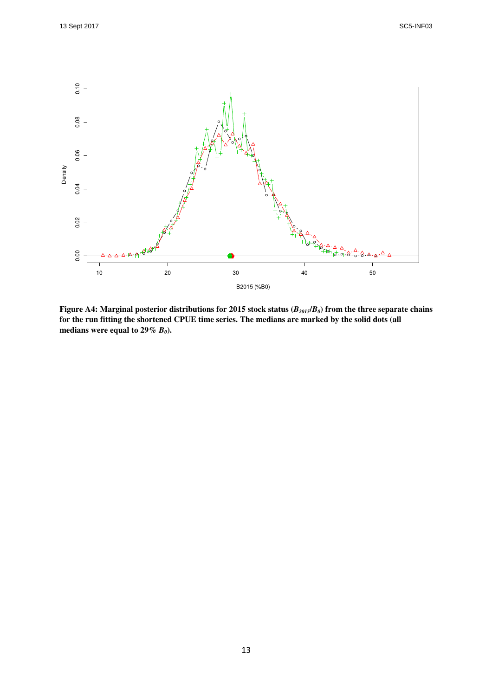

**Figure A4: Marginal posterior distributions for 2015 stock status (***B2015***/***B0***) from the three separate chains for the run fitting the shortened CPUE time series. The medians are marked by the solid dots (all medians were equal to 29%** *B0***).**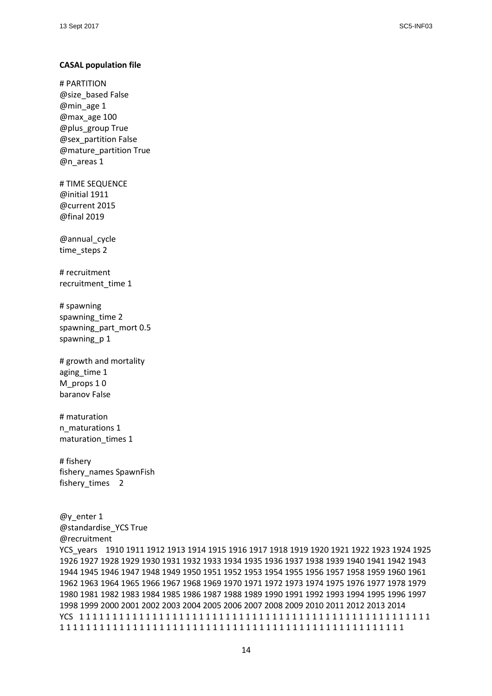#### CASAL population file

# PARTITION @size\_based False @min\_age 1 @max\_age 100 @plus\_group True @sex\_partition False @mature\_partition True @n\_areas 1

# TIME SEQUENCE @initial 1911 @current 2015 @final 2019

@annual\_cycle time\_steps 2

# recruitment recruitment\_time 1

# spawning spawning\_time 2 spawning\_part\_mort 0.5 spawning\_p 1

# growth and mortality aging\_time 1 M props 1 0 baranov False

# maturation n\_maturations 1 maturation times 1

# fishery fishery\_names SpawnFish fishery\_times 2

@y\_enter 1 @standardise\_YCS True @recruitment YCS\_years 1910 1911 1912 1913 1914 1915 1916 1917 1918 1919 1920 1921 1922 1923 1924 1925 1926 1927 1928 1929 1930 1931 1932 1933 1934 1935 1936 1937 1938 1939 1940 1941 1942 1943 1944 1945 1946 1947 1948 1949 1950 1951 1952 1953 1954 1955 1956 1957 1958 1959 1960 1961 1962 1963 1964 1965 1966 1967 1968 1969 1970 1971 1972 1973 1974 1975 1976 1977 1978 1979 1980 1981 1982 1983 1984 1985 1986 1987 1988 1989 1990 1991 1992 1993 1994 1995 1996 1997 1998 1999 2000 2001 2002 2003 2004 2005 2006 2007 2008 2009 2010 2011 2012 2013 2014 YCS 1 1 1 1 1 1 1 1 1 1 1 1 1 1 1 1 1 1 1 1 1 1 1 1 1 1 1 1 1 1 1 1 1 1 1 1 1 1 1 1 1 1 1 1 1 1 1 1 1 1 1 1 1 1 1 1 1 1 1 1 1 1 1 1 1 1 1 1 1 1 1 1 1 1 1 1 1 1 1 1 1 1 1 1 1 1 1 1 1 1 1 1 1 1 1 1 1 1 1 1 1 1 1 1 1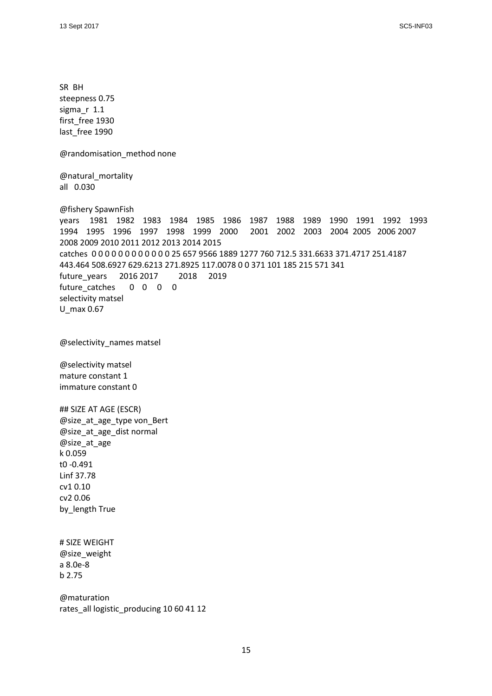SR BH steepness 0.75 sigma\_r 1.1 first free 1930 last free 1990 @randomisation\_method none @natural\_mortality all 0.030 @fishery SpawnFish years 1981 1982 1983 1984 1985 1986 1987 1988 1989 1990 1991 1992 1993 1994 1995 1996 1997 1998 1999 2000 2001 2002 2003 2004 2005 2006 2007 2008 2009 2010 2011 2012 2013 2014 2015 catches 0 0 0 0 0 0 0 0 0 0 0 0 25 657 9566 1889 1277 760 712.5 331.6633 371.4717 251.4187 443.464 508.6927 629.6213 271.8925 117.0078 0 0 371 101 185 215 571 341 future\_years 2016 2017 2018 2019 future catches 0 0 0 0 selectivity matsel U\_max 0.67 @selectivity\_names matsel @selectivity matsel mature constant 1 immature constant 0 ## SIZE AT AGE (ESCR) @size\_at\_age\_type von\_Bert @size\_at\_age\_dist normal @size\_at\_age k 0.059 t0 -0.491 Linf 37.78 cv1 0.10 cv2 0.06 by\_length True # SIZE WEIGHT @size\_weight a 8.0e-8 b 2.75 @maturation rates\_all logistic\_producing 10 60 41 12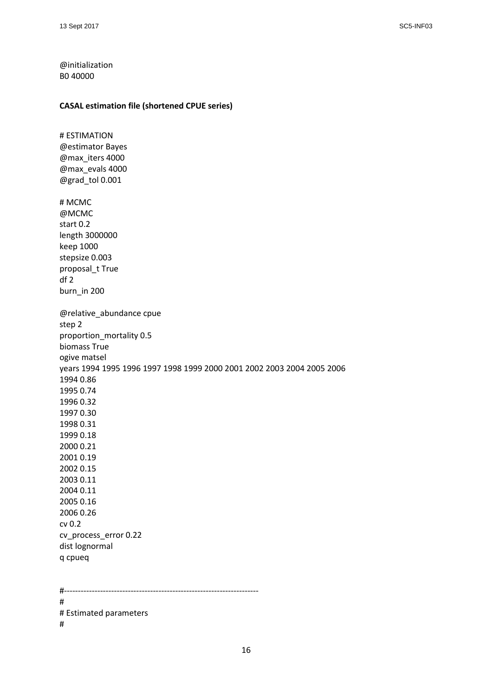@initialization B0 40000

#### CASAL estimation file (shortened CPUE series)

# ESTIMATION @estimator Bayes @max\_iters 4000 @max\_evals 4000 @grad\_tol 0.001 # MCMC @MCMC start 0.2 length 3000000 keep 1000 stepsize 0.003 proposal\_t True df 2 burn\_in 200 @relative\_abundance cpue step 2 proportion\_mortality 0.5 biomass True ogive matsel years 1994 1995 1996 1997 1998 1999 2000 2001 2002 2003 2004 2005 2006 1994 0.86 1995 0.74 1996 0.32 1997 0.30 1998 0.31 1999 0.18 2000 0.21 2001 0.19 2002 0.15 2003 0.11 2004 0.11 2005 0.16 2006 0.26 cv 0.2 cv\_process\_error 0.22 dist lognormal q cpueq #---------------------------------------------------------------------- # # Estimated parameters #